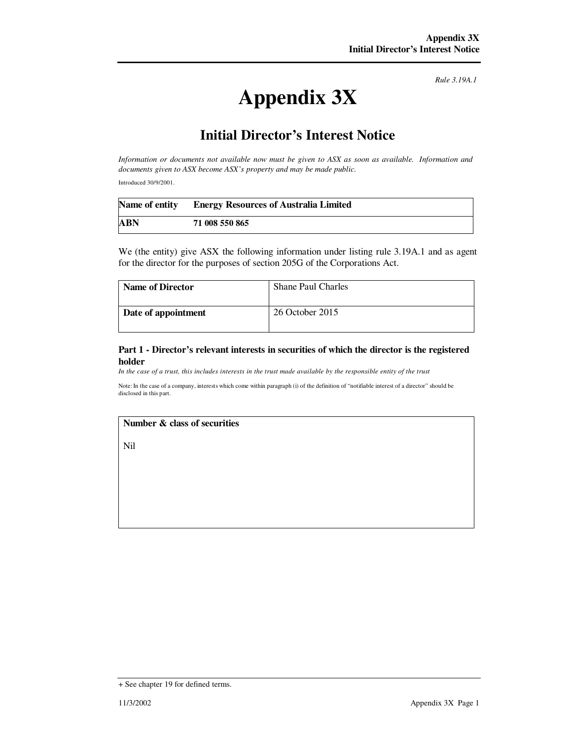*Rule 3.19A.1*

# **Appendix 3X**

# **Initial Director's Interest Notice**

*Information or documents not available now must be given to ASX as soon as available. Information and documents given to ASX become ASX's property and may be made public.* 

Introduced 30/9/2001.

|     | Name of entity Energy Resources of Australia Limited |
|-----|------------------------------------------------------|
| ABN | 71 008 550 865                                       |

We (the entity) give ASX the following information under listing rule 3.19A.1 and as agent for the director for the purposes of section 205G of the Corporations Act.

| <b>Name of Director</b> | <b>Shane Paul Charles</b> |
|-------------------------|---------------------------|
| Date of appointment     | 26 October 2015           |

#### **Part 1 - Director's relevant interests in securities of which the director is the registered holder**

*In the case of a trust, this includes interests in the trust made available by the responsible entity of the trust*

Note: In the case of a company, interests which come within paragraph (i) of the definition of "notifiable interest of a director" should be disclosed in this part.

## **Number & class of securities**

Nil

<sup>+</sup> See chapter 19 for defined terms.